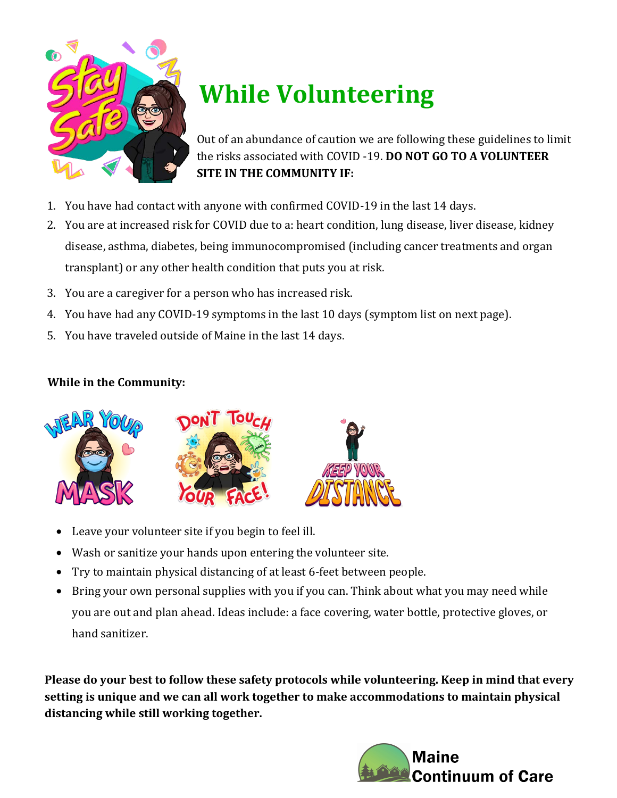

## **While Volunteering**

Out of an abundance of caution we are following these guidelines to limit the risks associated with COVID -19. **DO NOT GO TO A VOLUNTEER SITE IN THE COMMUNITY IF:**

- 1. You have had contact with anyone with confirmed COVID-19 in the last 14 days.
- 2. You are at increased risk for COVID due to a: heart condition, lung disease, liver disease, kidney disease, asthma, diabetes, being immunocompromised (including cancer treatments and organ transplant) or any other health condition that puts you at risk.
- 3. You are a caregiver for a person who has increased risk.
- 4. You have had any COVID-19 symptoms in the last 10 days (symptom list on next page).
- 5. You have traveled outside of Maine in the last 14 days.

## **While** in the Community:



- Leave your volunteer site if you begin to feel ill.
- Wash or sanitize your hands upon entering the volunteer site.
- Try to maintain physical distancing of at least 6-feet between people.
- Bring your own personal supplies with you if you can. Think about what you may need while you are out and plan ahead. Ideas include: a face covering, water bottle, protective gloves, or hand sanitizer.

**Please do your best to follow these safety protocols while volunteering. Keep in mind that every setting is unique and we can all work together to make accommodations to maintain physical distancing while still working together.**